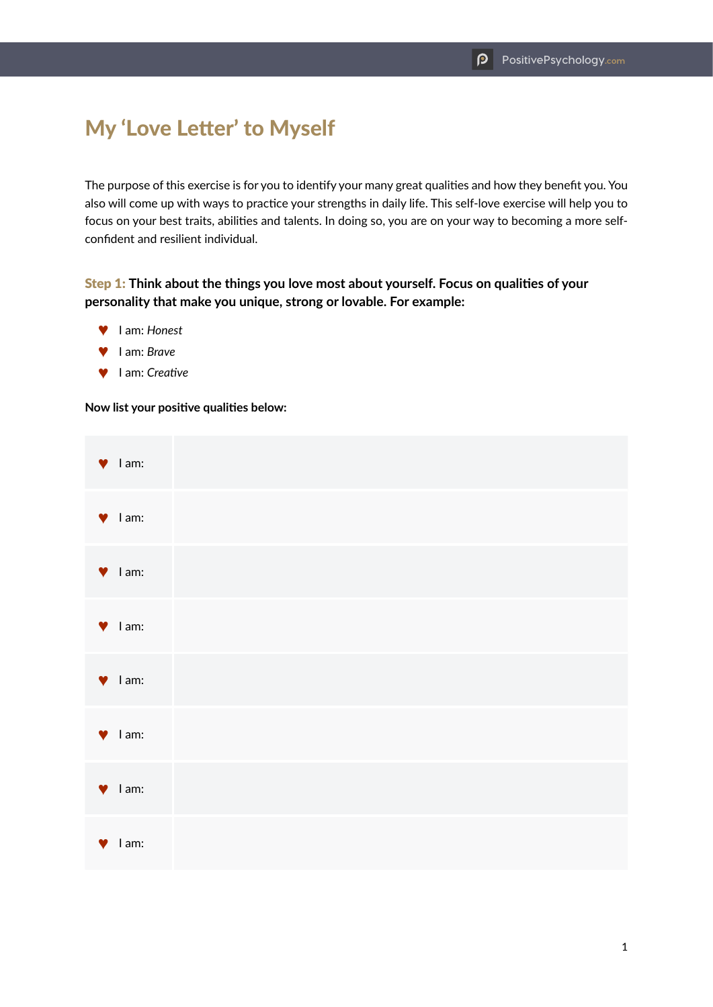# My 'Love Letter' to Myself

The purpose of this exercise is for you to identify your many great qualities and how they benefit you. You also will come up with ways to practice your strengths in daily life. This self-love exercise will help you to focus on your best traits, abilities and talents. In doing so, you are on your way to becoming a more selfconfident and resilient individual.

## Step 1: **Think about the things you love most about yourself. Focus on qualities of your personality that make you unique, strong or lovable. For example:**

- ™ I am: *Honest*
- ™ I am: *Brave*
- ™ I am: *Creative*

#### **Now list your positive qualities below:**

|           | $\blacktriangledown$ lam:  |  |
|-----------|----------------------------|--|
|           | $\blacktriangleright$ lam: |  |
|           | $\blacktriangledown$ lam:  |  |
|           | $\blacktriangledown$ lam:  |  |
|           | $\blacktriangledown$ lam:  |  |
|           | $\blacktriangledown$ lam:  |  |
|           | $\blacktriangledown$ lam:  |  |
| $\bullet$ | I am:                      |  |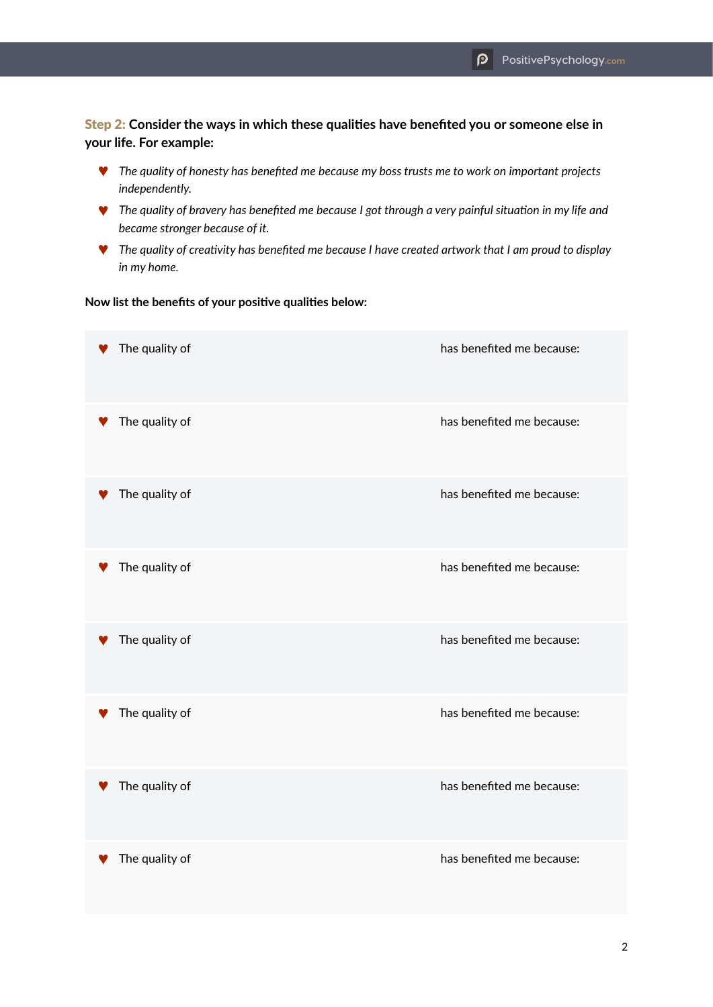### Step 2: **Consider the ways in which these qualities have benefited you or someone else in your life. For example:**

- ™ *The quality of honesty has benefited me because my boss trusts me to work on important projects independently.*
- ™ *The quality of bravery has benefited me because I got through a very painful situation in my life and became stronger because of it.*
- ™ *The quality of creativity has benefited me because I have created artwork that I am proud to display in my home.*

#### **Now list the benefits of your positive qualities below:**

| The quality of | has benefited me because: |
|----------------|---------------------------|
| The quality of | has benefited me because: |
| The quality of | has benefited me because: |
| The quality of | has benefited me because: |
| The quality of | has benefited me because: |
| The quality of | has benefited me because: |
| The quality of | has benefited me because: |
| The quality of | has benefited me because: |